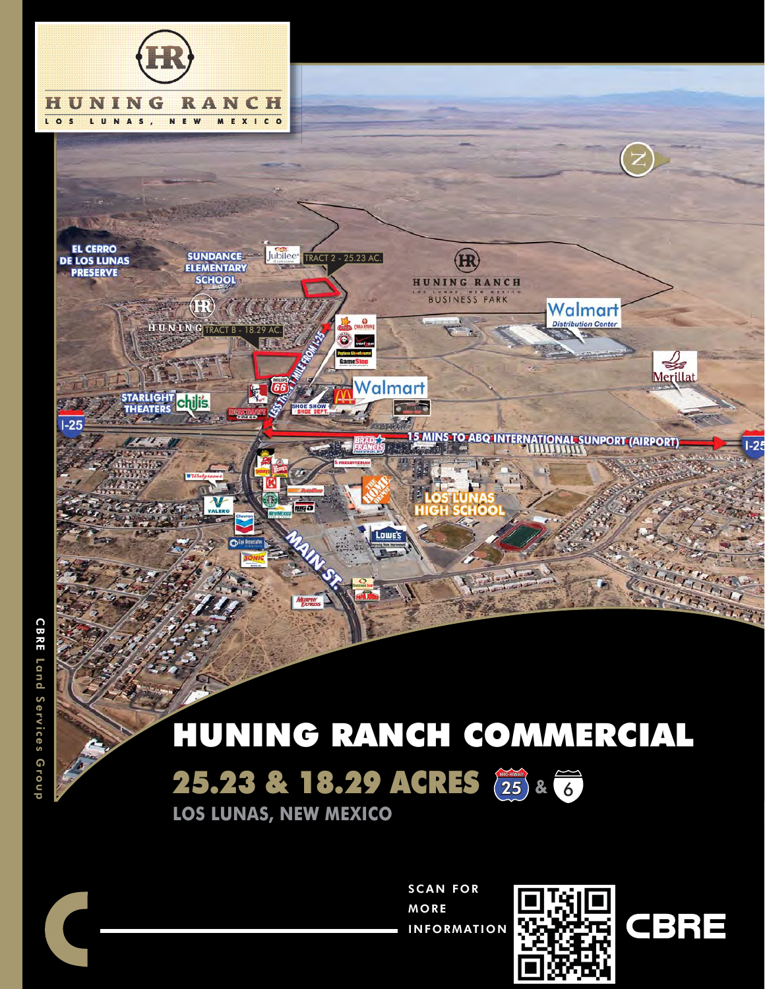

# HUNING RANCH COMMERCIAL

25.23 & 18.29 ACRES (25) & 6

**LOS LUNAS, NEW MEXICO**

SCAN FOR MORE INFORMATION



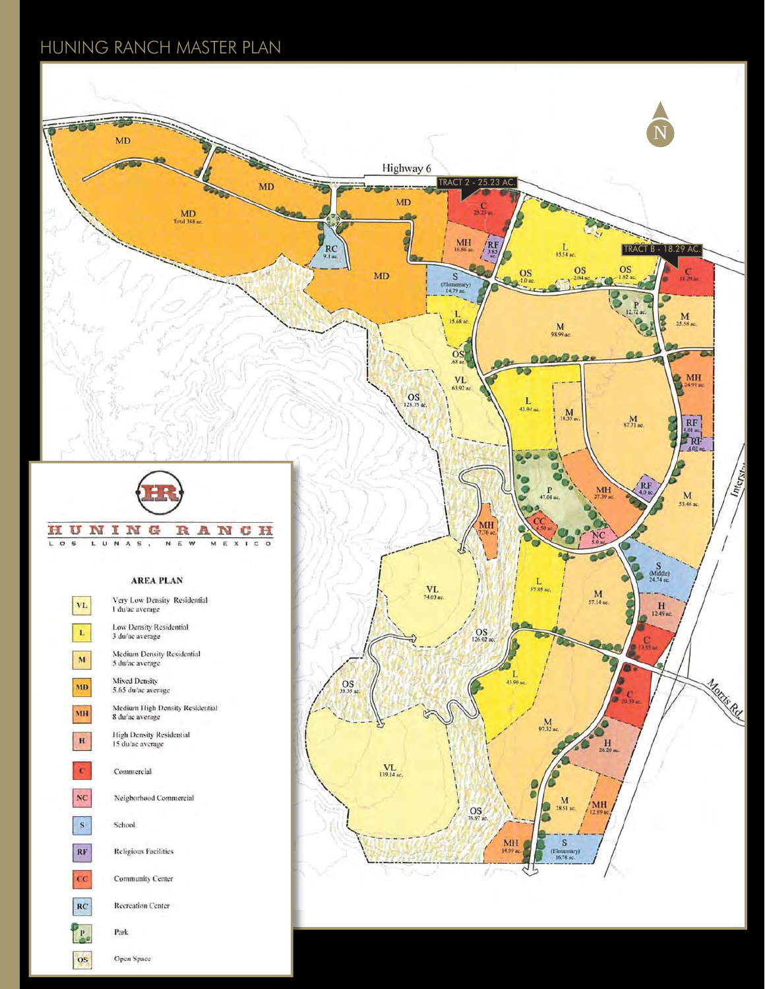# HUNING RANCH MASTER PLAN

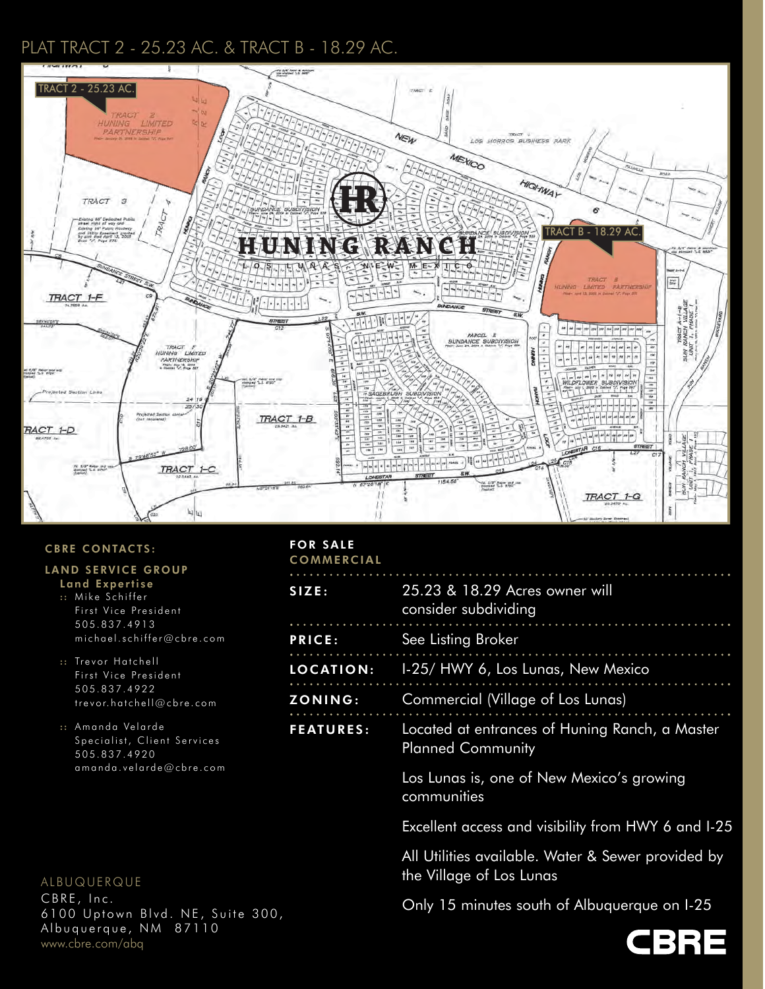# PLAT TRACT 2 - 25.23 AC. & TRACT B - 18.29 AC.



#### CBRE CONTACTS:

## LAND SERVICE GROUP

- Land Expertise :: Mike Schiffer
- First Vice President 505.837.4913 michael.schiffer@cbre.com

:: Trevor Hatchell First Vice President 505.837.4922 trevor.hatchell@cbre.com

:: Amanda Velarde Specialist, Client Services 505.837.4920 amanda.velarde@cbre.com

## ALBUQUERQUE

CBRE, Inc. 6100 Uptown Blvd. NE, Suite 300, Albuquerque, NM 87110 www.cbre.com/abq

#### FOR SALE **COMMERCIAL**

| SIZE:            | 25.23 & 18.29 Acres owner will<br>consider subdividing                         |  |  |
|------------------|--------------------------------------------------------------------------------|--|--|
| <b>PRICE:</b>    | See Listing Broker                                                             |  |  |
| <b>LOCATION:</b> | 1-25/ HWY 6, Los Lunas, New Mexico                                             |  |  |
| <b>ZONING:</b>   | Commercial (Village of Los Lunas)                                              |  |  |
| <b>FEATURES:</b> | Located at entrances of Huning Ranch, a Master<br><b>Planned Community</b>     |  |  |
|                  | Los Lunas is, one of New Mexico's growing<br>communities                       |  |  |
|                  | Excellent access and visibility from HWY 6 and I-25                            |  |  |
|                  | All Utilities available. Water & Sewer provided by<br>the Village of Los Lunas |  |  |

Only 15 minutes south of Albuquerque on I-25